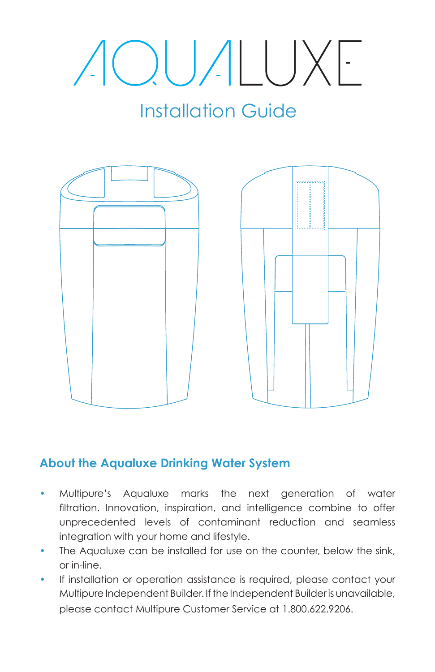# AOUALUXE

## Installation Guide



## **About the Aqualuxe Drinking Water System**

- Multipure's Aqualuxe marks the next generation of water filtration. Innovation, inspiration, and intelligence combine to offer unprecedented levels of contaminant reduction and seamless integration with your home and lifestyle.
- The Aqualuxe can be installed for use on the counter, below the sink, or in-line.
- If installation or operation assistance is required, please contact your Multipure Independent Builder. If the Independent Builder is unavailable, please contact Multipure Customer Service at 1.800.622.9206.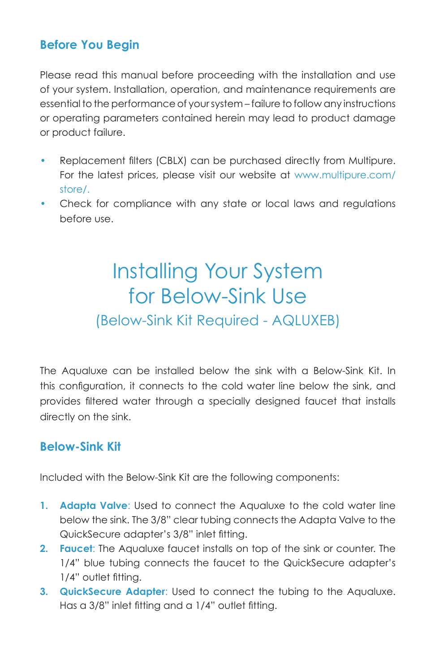## **Before You Begin**

Please read this manual before proceeding with the installation and use of your system. Installation, operation, and maintenance requirements are essential to the performance of your system – failure to follow any instructions or operating parameters contained herein may lead to product damage or product failure.

- Replacement filters (CBLX) can be purchased directly from Multipure. For the latest prices, please visit our website at www.multipure.com/ store/.
- Check for compliance with any state or local laws and regulations before use.

## Installing Your System for Below-Sink Use (Below-Sink Kit Required - AQLUXEB)

The Aqualuxe can be installed below the sink with a Below-Sink Kit. In this configuration, it connects to the cold water line below the sink, and provides filtered water through a specially designed faucet that installs directly on the sink.

### **Below-Sink Kit**

Included with the Below-Sink Kit are the following components:

- **1. Adapta Valve**: Used to connect the Aqualuxe to the cold water line below the sink. The 3/8" clear tubing connects the Adapta Valve to the QuickSecure adapter's 3/8" inlet fitting.
- **2. Faucet**: The Aqualuxe faucet installs on top of the sink or counter. The 1/4" blue tubing connects the faucet to the QuickSecure adapter's 1/4" outlet fitting.
- **3. QuickSecure Adapter**: Used to connect the tubing to the Aqualuxe. Has a 3/8" inlet fitting and a 1/4" outlet fitting.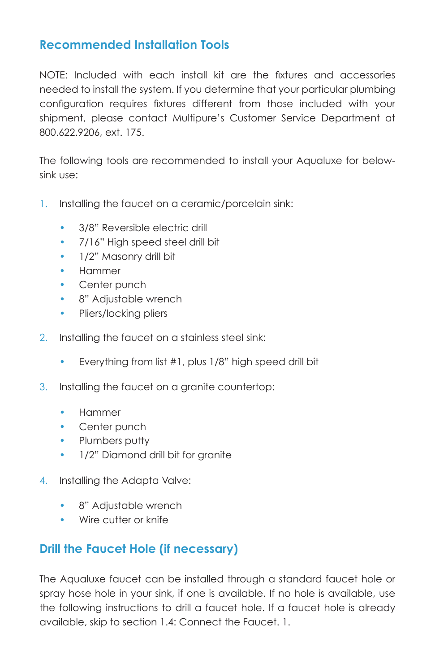### **Recommended Installation Tools**

NOTE: Included with each install kit are the fixtures and accessories needed to install the system. If you determine that your particular plumbing configuration requires fixtures different from those included with your shipment, please contact Multipure's Customer Service Department at 800.622.9206, ext. 175.

The following tools are recommended to install your Aqualuxe for belowsink use:

- 1. Installing the faucet on a ceramic/porcelain sink:
	- 3/8" Reversible electric drill
	- 7/16" High speed steel drill bit
	- 1/2" Masonry drill bit
	- Hammer
	- Center punch
	- 8" Adjustable wrench
	- Pliers/locking pliers
- 2. Installing the faucet on a stainless steel sink:
	- Everything from list #1, plus 1/8" high speed drill bit
- 3. Installing the faucet on a granite countertop:
	- Hammer
	- Center punch
	- Plumbers putty
	- 1/2" Diamond drill bit for granite
- 4. Installing the Adapta Valve:
	- 8" Adjustable wrench
	- Wire cutter or knife

### **Drill the Faucet Hole (if necessary)**

The Aqualuxe faucet can be installed through a standard faucet hole or spray hose hole in your sink, if one is available. If no hole is available, use the following instructions to drill a faucet hole. If a faucet hole is already available, skip to section 1.4: Connect the Faucet. 1.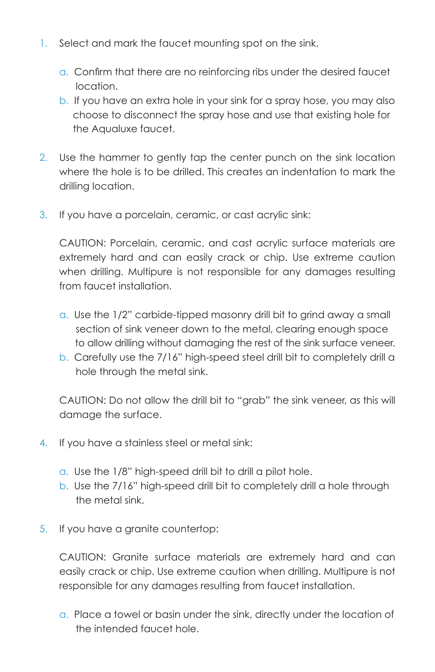- 1. Select and mark the faucet mounting spot on the sink.
	- a. Confirm that there are no reinforcing ribs under the desired faucet location.
	- b. If you have an extra hole in your sink for a spray hose, you may also choose to disconnect the spray hose and use that existing hole for the Aqualuxe faucet.
- 2. Use the hammer to gently tap the center punch on the sink location where the hole is to be drilled. This creates an indentation to mark the drilling location.
- 3. If you have a porcelain, ceramic, or cast acrylic sink:

CAUTION: Porcelain, ceramic, and cast acrylic surface materials are extremely hard and can easily crack or chip. Use extreme caution when drilling. Multipure is not responsible for any damages resulting from faucet installation.

- a. Use the 1/2" carbide-tipped masonry drill bit to grind away a small section of sink veneer down to the metal, clearing enough space to allow drilling without damaging the rest of the sink surface veneer.
- b. Carefully use the 7/16" high-speed steel drill bit to completely drill a hole through the metal sink.

CAUTION: Do not allow the drill bit to "grab" the sink veneer, as this will damage the surface.

- 4. If you have a stainless steel or metal sink:
	- a. Use the 1/8" high-speed drill bit to drill a pilot hole.
	- b. Use the 7/16" high-speed drill bit to completely drill a hole through the metal sink.
- 5. If you have a granite countertop:

CAUTION: Granite surface materials are extremely hard and can easily crack or chip. Use extreme caution when drilling. Multipure is not responsible for any damages resulting from faucet installation.

a. Place a towel or basin under the sink, directly under the location of the intended faucet hole.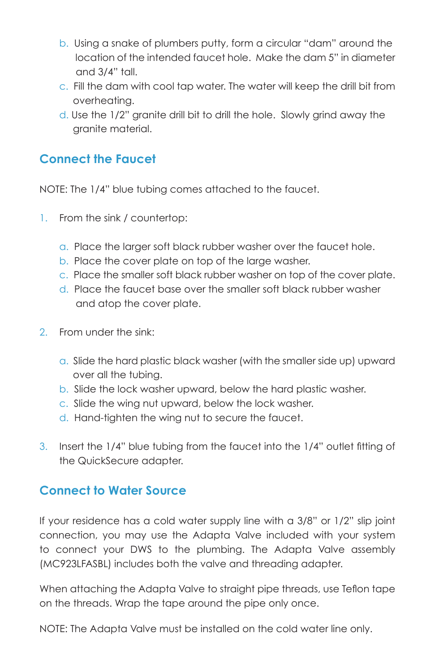- b. Using a snake of plumbers putty, form a circular "dam" around the location of the intended faucet hole. Make the dam 5" in diameter and 3/4" tall.
- c. Fill the dam with cool tap water. The water will keep the drill bit from overheating.
- d. Use the 1/2" granite drill bit to drill the hole. Slowly grind away the granite material.

### **Connect the Faucet**

NOTE: The 1/4" blue tubing comes attached to the faucet.

- 1. From the sink / countertop:
	- a. Place the larger soft black rubber washer over the faucet hole.
	- b. Place the cover plate on top of the large washer.
	- c. Place the smaller soft black rubber washer on top of the cover plate.
	- d. Place the faucet base over the smaller soft black rubber washer and atop the cover plate.
- 2. From under the sink:
	- a. Slide the hard plastic black washer (with the smaller side up) upward over all the tubing.
	- b. Slide the lock washer upward, below the hard plastic washer.
	- c. Slide the wing nut upward, below the lock washer.
	- d. Hand-tighten the wing nut to secure the faucet.
- 3. Insert the 1/4" blue tubing from the faucet into the 1/4" outlet fitting of the QuickSecure adapter.

### **Connect to Water Source**

If your residence has a cold water supply line with a 3/8" or 1/2" slip joint connection, you may use the Adapta Valve included with your system to connect your DWS to the plumbing. The Adapta Valve assembly (MC923LFASBL) includes both the valve and threading adapter.

When attaching the Adapta Valve to straight pipe threads, use Teflon tape on the threads. Wrap the tape around the pipe only once.

NOTE: The Adapta Valve must be installed on the cold water line only.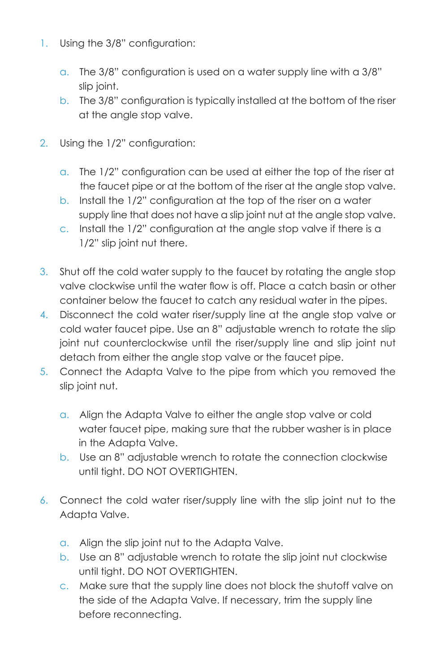- 1. Using the 3/8" configuration:
	- a. The 3/8" configuration is used on a water supply line with a 3/8" slip joint.
	- b. The 3/8" configuration is typically installed at the bottom of the riser at the angle stop valve.
- 2. Using the 1/2" configuration:
	- a. The 1/2" configuration can be used at either the top of the riser at the faucet pipe or at the bottom of the riser at the angle stop valve.
	- b. Install the 1/2" configuration at the top of the riser on a water supply line that does not have a slip joint nut at the angle stop valve.
	- c. Install the 1/2" configuration at the angle stop valve if there is a 1/2" slip joint nut there.
- 3. Shut off the cold water supply to the faucet by rotating the angle stop valve clockwise until the water flow is off. Place a catch basin or other container below the faucet to catch any residual water in the pipes.
- 4. Disconnect the cold water riser/supply line at the angle stop valve or cold water faucet pipe. Use an 8" adjustable wrench to rotate the slip joint nut counterclockwise until the riser/supply line and slip joint nut detach from either the angle stop valve or the faucet pipe.
- 5. Connect the Adapta Valve to the pipe from which you removed the slip joint nut.
	- a. Align the Adapta Valve to either the angle stop valve or cold water faucet pipe, making sure that the rubber washer is in place in the Adapta Valve.
	- b. Use an 8" adjustable wrench to rotate the connection clockwise until tight. DO NOT OVERTIGHTEN.
- 6. Connect the cold water riser/supply line with the slip joint nut to the Adapta Valve.
	- a. Align the slip joint nut to the Adapta Valve.
	- b. Use an 8" adjustable wrench to rotate the slip joint nut clockwise until tight. DO NOT OVERTIGHTEN.
	- c. Make sure that the supply line does not block the shutoff valve on the side of the Adapta Valve. If necessary, trim the supply line before reconnecting.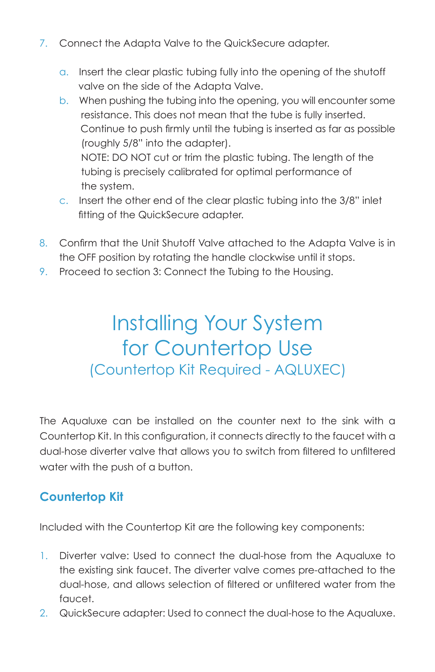- 7. Connect the Adapta Valve to the QuickSecure adapter.
	- a. Insert the clear plastic tubing fully into the opening of the shutoff valve on the side of the Adapta Valve.
	- b. When pushing the tubing into the opening, you will encounter some resistance. This does not mean that the tube is fully inserted. Continue to push firmly until the tubing is inserted as far as possible (roughly 5/8" into the adapter). NOTE: DO NOT cut or trim the plastic tubing. The length of the tubing is precisely calibrated for optimal performance of the system.
	- c. Insert the other end of the clear plastic tubing into the 3/8" inlet fitting of the QuickSecure adapter.
- 8. Confirm that the Unit Shutoff Valve attached to the Adapta Valve is in the OFF position by rotating the handle clockwise until it stops.
- 9. Proceed to section 3: Connect the Tubing to the Housing.

## Installing Your System for Countertop Use (Countertop Kit Required - AQLUXEC)

The Aqualuxe can be installed on the counter next to the sink with a Countertop Kit. In this configuration, it connects directly to the faucet with a dual-hose diverter valve that allows you to switch from filtered to unfiltered water with the push of a button.

## **Countertop Kit**

Included with the Countertop Kit are the following key components:

- 1. Diverter valve: Used to connect the dual-hose from the Aqualuxe to the existing sink faucet. The diverter valve comes pre-attached to the dual-hose, and allows selection of filtered or unfiltered water from the faucet.
- 2. QuickSecure adapter: Used to connect the dual-hose to the Aqualuxe.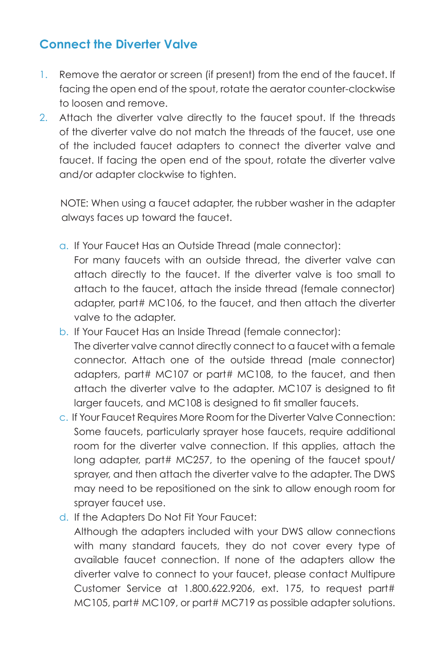## **Connect the Diverter Valve**

- 1. Remove the aerator or screen (if present) from the end of the faucet. If facing the open end of the spout, rotate the aerator counter-clockwise to loosen and remove.
- 2. Attach the diverter valve directly to the faucet spout. If the threads of the diverter valve do not match the threads of the faucet, use one of the included faucet adapters to connect the diverter valve and faucet. If facing the open end of the spout, rotate the diverter valve and/or adapter clockwise to tighten.

 NOTE: When using a faucet adapter, the rubber washer in the adapter always faces up toward the faucet.

- a. If Your Faucet Has an Outside Thread (male connector): For many faucets with an outside thread, the diverter valve can attach directly to the faucet. If the diverter valve is too small to attach to the faucet, attach the inside thread (female connector) adapter, part# MC106, to the faucet, and then attach the diverter valve to the adapter.
- b. If Your Faucet Has an Inside Thread (female connector): The diverter valve cannot directly connect to a faucet with a female connector. Attach one of the outside thread (male connector) adapters, part# MC107 or part# MC108, to the faucet, and then attach the diverter valve to the adapter. MC107 is designed to fit larger faucets, and MC108 is designed to fit smaller faucets.
- c. If Your Faucet Requires More Room for the Diverter Valve Connection: Some faucets, particularly sprayer hose faucets, require additional room for the diverter valve connection. If this applies, attach the long adapter, part# MC257, to the opening of the faucet spout/ sprayer, and then attach the diverter valve to the adapter. The DWS may need to be repositioned on the sink to allow enough room for sprayer faucet use.
- d. If the Adapters Do Not Fit Your Faucet:

Although the adapters included with your DWS allow connections with many standard faucets, they do not cover every type of available faucet connection. If none of the adapters allow the diverter valve to connect to your faucet, please contact Multipure Customer Service at 1.800.622.9206, ext. 175, to request part# MC105, part# MC109, or part# MC719 as possible adapter solutions.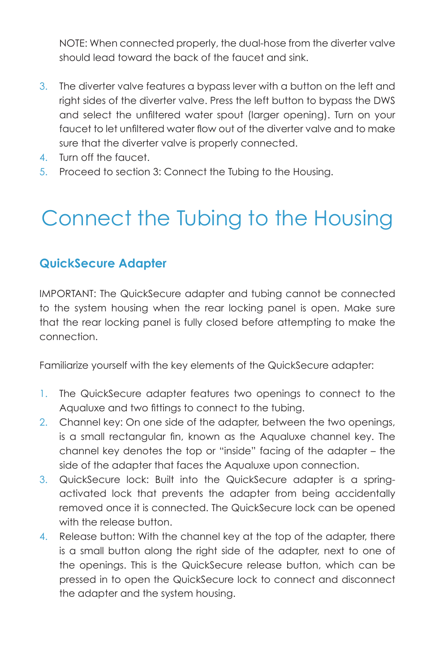NOTE: When connected properly, the dual-hose from the diverter valve should lead toward the back of the faucet and sink.

- 3. The diverter valve features a bypass lever with a button on the left and right sides of the diverter valve. Press the left button to bypass the DWS and select the unfiltered water spout (larger opening). Turn on your faucet to let unfiltered water flow out of the diverter valve and to make sure that the diverter valve is properly connected.
- 4. Turn off the faucet.
- 5. Proceed to section 3: Connect the Tubing to the Housing.

## Connect the Tubing to the Housing

### **QuickSecure Adapter**

IMPORTANT: The QuickSecure adapter and tubing cannot be connected to the system housing when the rear locking panel is open. Make sure that the rear locking panel is fully closed before attempting to make the connection.

Familiarize yourself with the key elements of the QuickSecure adapter:

- 1. The QuickSecure adapter features two openings to connect to the Aqualuxe and two fittings to connect to the tubing.
- 2. Channel key: On one side of the adapter, between the two openings, is a small rectangular fin, known as the Aqualuxe channel key. The channel key denotes the top or "inside" facing of the adapter – the side of the adapter that faces the Aqualuxe upon connection.
- 3. QuickSecure lock: Built into the QuickSecure adapter is a springactivated lock that prevents the adapter from being accidentally removed once it is connected. The QuickSecure lock can be opened with the release button
- 4. Release button: With the channel key at the top of the adapter, there is a small button along the right side of the adapter, next to one of the openings. This is the QuickSecure release button, which can be pressed in to open the QuickSecure lock to connect and disconnect the adapter and the system housing.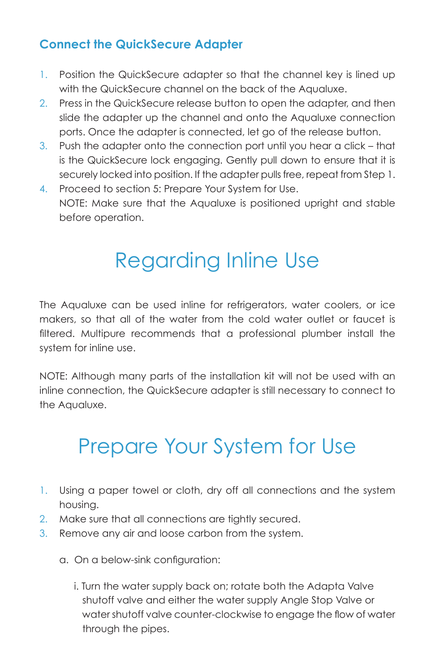## **Connect the QuickSecure Adapter**

- 1. Position the QuickSecure adapter so that the channel key is lined up with the QuickSecure channel on the back of the Aqualuxe.
- 2. Press in the QuickSecure release button to open the adapter, and then slide the adapter up the channel and onto the Aqualuxe connection ports. Once the adapter is connected, let go of the release button.
- 3. Push the adapter onto the connection port until you hear a click that is the QuickSecure lock engaging. Gently pull down to ensure that it is securely locked into position. If the adapter pulls free, repeat from Step 1.
- 4. Proceed to section 5: Prepare Your System for Use. NOTE: Make sure that the Aqualuxe is positioned upright and stable before operation.

## Regarding Inline Use

The Aqualuxe can be used inline for refrigerators, water coolers, or ice makers, so that all of the water from the cold water outlet or faucet is filtered. Multipure recommends that a professional plumber install the system for inline use.

NOTE: Although many parts of the installation kit will not be used with an inline connection, the QuickSecure adapter is still necessary to connect to the Aqualuxe.

## Prepare Your System for Use

- 1. Using a paper towel or cloth, dry off all connections and the system housing.
- 2. Make sure that all connections are tightly secured.
- 3. Remove any air and loose carbon from the system.
	- a. On a below-sink configuration:
		- i. Turn the water supply back on; rotate both the Adapta Valve shutoff valve and either the water supply Angle Stop Valve or water shutoff valve counter-clockwise to engage the flow of water through the pipes.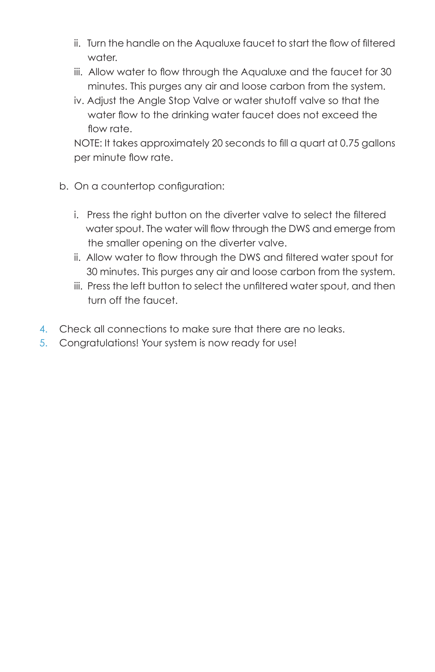- ii. Turn the handle on the Aqualuxe faucet to start the flow of filtered water.
- iii. Allow water to flow through the Aqualuxe and the faucet for 30 minutes. This purges any air and loose carbon from the system.
- iv. Adjust the Angle Stop Valve or water shutoff valve so that the water flow to the drinking water faucet does not exceed the flow rate.

NOTE: It takes approximately 20 seconds to fill a quart at 0.75 gallons per minute flow rate.

- b. On a countertop configuration:
	- i. Press the right button on the diverter valve to select the filtered water spout. The water will flow through the DWS and emerge from the smaller opening on the diverter valve.
	- ii. Allow water to flow through the DWS and filtered water spout for 30 minutes. This purges any air and loose carbon from the system.
	- iii. Press the left button to select the unfiltered water spout, and then turn off the faucet.
- 4. Check all connections to make sure that there are no leaks.
- 5. Congratulations! Your system is now ready for use!